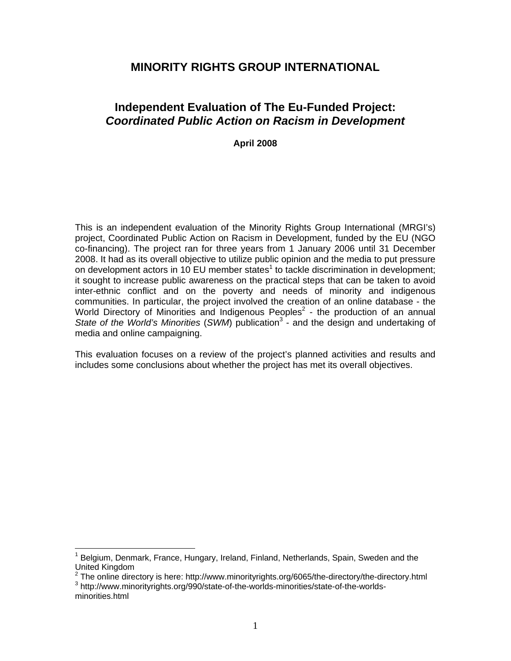# **MINORITY RIGHTS GROUP INTERNATIONAL**

# **Independent Evaluation of The Eu-Funded Project:**  *Coordinated Public Action on Racism in Development*

**April 2008** 

This is an independent evaluation of the Minority Rights Group International (MRGI's) project, Coordinated Public Action on Racism in Development, funded by the EU (NGO co-financing). The project ran for three years from 1 January 2006 until 31 December 2008. It had as its overall objective to utilize public opinion and the media to put pressure on development actors in 10 EU member states<sup>1</sup> to tackle discrimination in development; it sought to increase public awareness on the practical steps that can be taken to avoid inter-ethnic conflict and on the poverty and needs of minority and indigenous communities. In particular, the project involved the creation of an online database - the World Directory of Minorities and Indigenous Peoples $2$  - the production of an annual State of the World's Minorities (SWM) publication<sup>3</sup> - and the design and undertaking of media and online campaigning.

This evaluation focuses on a review of the project's planned activities and results and includes some conclusions about whether the project has met its overall objectives.

<sup>&</sup>lt;sup>1</sup> Belgium, Denmark, France, Hungary, Ireland, Finland, Netherlands, Spain, Sweden and the United Kingdom

<sup>&</sup>lt;sup>2</sup> The online directory is here: http://www.minorityrights.org/6065/the-directory/the-directory.html  $^3$  http://www.minorityrights.org/6065/the-directory/the-directory.html http://www.minorityrights.org/990/state-of-the-worlds-minorities/state-of-the-worlds-

minorities.html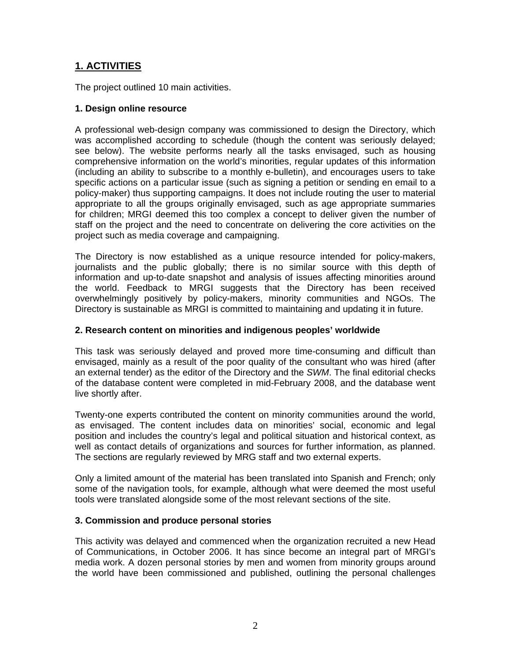# **1. ACTIVITIES**

The project outlined 10 main activities.

## **1. Design online resource**

A professional web-design company was commissioned to design the Directory, which was accomplished according to schedule (though the content was seriously delayed; see below). The website performs nearly all the tasks envisaged, such as housing comprehensive information on the world's minorities, regular updates of this information (including an ability to subscribe to a monthly e-bulletin), and encourages users to take specific actions on a particular issue (such as signing a petition or sending en email to a policy-maker) thus supporting campaigns. It does not include routing the user to material appropriate to all the groups originally envisaged, such as age appropriate summaries for children; MRGI deemed this too complex a concept to deliver given the number of staff on the project and the need to concentrate on delivering the core activities on the project such as media coverage and campaigning.

The Directory is now established as a unique resource intended for policy-makers, journalists and the public globally; there is no similar source with this depth of information and up-to-date snapshot and analysis of issues affecting minorities around the world. Feedback to MRGI suggests that the Directory has been received overwhelmingly positively by policy-makers, minority communities and NGOs. The Directory is sustainable as MRGI is committed to maintaining and updating it in future.

## **2. Research content on minorities and indigenous peoples' worldwide**

This task was seriously delayed and proved more time-consuming and difficult than envisaged, mainly as a result of the poor quality of the consultant who was hired (after an external tender) as the editor of the Directory and the *SWM*. The final editorial checks of the database content were completed in mid-February 2008, and the database went live shortly after.

Twenty-one experts contributed the content on minority communities around the world, as envisaged. The content includes data on minorities' social, economic and legal position and includes the country's legal and political situation and historical context, as well as contact details of organizations and sources for further information, as planned. The sections are regularly reviewed by MRG staff and two external experts.

Only a limited amount of the material has been translated into Spanish and French; only some of the navigation tools, for example, although what were deemed the most useful tools were translated alongside some of the most relevant sections of the site.

## **3. Commission and produce personal stories**

This activity was delayed and commenced when the organization recruited a new Head of Communications, in October 2006. It has since become an integral part of MRGI's media work. A dozen personal stories by men and women from minority groups around the world have been commissioned and published, outlining the personal challenges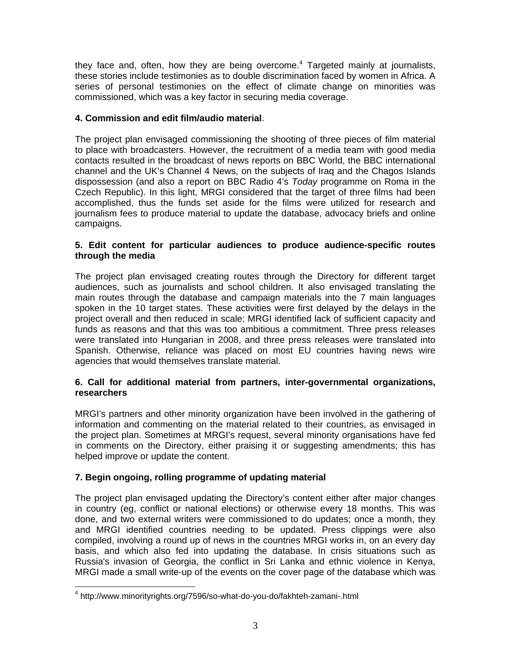they face and, often, how they are being overcome. $4$  Targeted mainly at journalists, these stories include testimonies as to double discrimination faced by women in Africa. A series of personal testimonies on the effect of climate change on minorities was commissioned, which was a key factor in securing media coverage.

## **4. Commission and edit film/audio material**.

The project plan envisaged commissioning the shooting of three pieces of film material to place with broadcasters. However, the recruitment of a media team with good media contacts resulted in the broadcast of news reports on BBC World, the BBC international channel and the UK's Channel 4 News, on the subjects of Iraq and the Chagos Islands dispossession (and also a report on BBC Radio 4's *Today* programme on Roma in the Czech Republic). In this light, MRGI considered that the target of three films had been accomplished, thus the funds set aside for the films were utilized for research and journalism fees to produce material to update the database, advocacy briefs and online campaigns.

### **5. Edit content for particular audiences to produce audience-specific routes through the media**

The project plan envisaged creating routes through the Directory for different target audiences, such as journalists and school children. It also envisaged translating the main routes through the database and campaign materials into the 7 main languages spoken in the 10 target states. These activities were first delayed by the delays in the project overall and then reduced in scale; MRGI identified lack of sufficient capacity and funds as reasons and that this was too ambitious a commitment. Three press releases were translated into Hungarian in 2008, and three press releases were translated into Spanish. Otherwise, reliance was placed on most EU countries having news wire agencies that would themselves translate material.

## **6. Call for additional material from partners, inter-governmental organizations, researchers**

MRGI's partners and other minority organization have been involved in the gathering of information and commenting on the material related to their countries, as envisaged in the project plan. Sometimes at MRGI's request, several minority organisations have fed in comments on the Directory, either praising it or suggesting amendments; this has helped improve or update the content.

## **7. Begin ongoing, rolling programme of updating material**

The project plan envisaged updating the Directory's content either after major changes in country (eg, conflict or national elections) or otherwise every 18 months. This was done, and two external writers were commissioned to do updates; once a month, they and MRGI identified countries needing to be updated. Press clippings were also compiled, involving a round up of news in the countries MRGI works in, on an every day basis, and which also fed into updating the database. In crisis situations such as Russia's invasion of Georgia, the conflict in Sri Lanka and ethnic violence in Kenya, MRGI made a small write-up of the events on the cover page of the database which was

<sup>&</sup>lt;sup>4</sup> http://www.minorityrights.org/7596/so-what-do-you-do/fakhteh-zamani-.html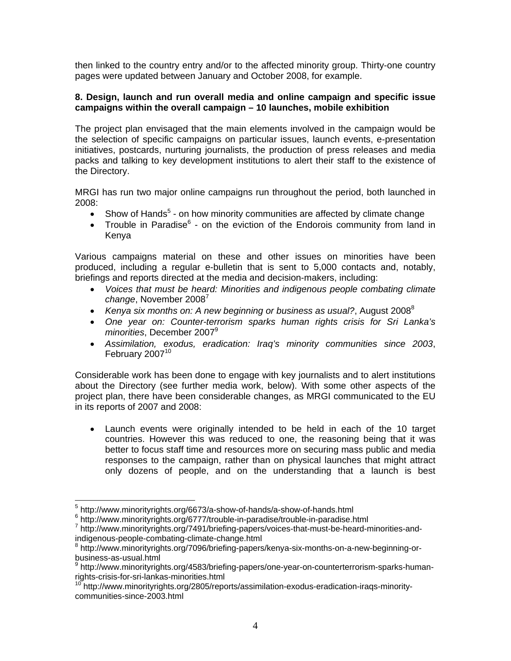then linked to the country entry and/or to the affected minority group. Thirty-one country pages were updated between January and October 2008, for example.

### **8. Design, launch and run overall media and online campaign and specific issue campaigns within the overall campaign – 10 launches, mobile exhibition**

The project plan envisaged that the main elements involved in the campaign would be the selection of specific campaigns on particular issues, launch events, e-presentation initiatives, postcards, nurturing journalists, the production of press releases and media packs and talking to key development institutions to alert their staff to the existence of the Directory.

MRGI has run two major online campaigns run throughout the period, both launched in 2008:

- Show of Hands<sup>5</sup> on how minority communities are affected by climate change
- Trouble in Paradise $6$  on the eviction of the Endorois community from land in Kenya

Various campaigns material on these and other issues on minorities have been produced, including a regular e-bulletin that is sent to 5,000 contacts and, notably, briefings and reports directed at the media and decision-makers, including:

- *Voices that must be heard: Minorities and indigenous people combating climate change*, November 2008<sup>7</sup>
- Kenya six months on: A new beginning or business as usual?, August 2008<sup>8</sup>
- *One year on: Counter-terrorism sparks human rights crisis for Sri Lanka's minorities*, December 2007<sup>9</sup>
- *Assimilation, exodus, eradication: Iraq's minority communities since 2003*, February 2007<sup>10</sup>

Considerable work has been done to engage with key journalists and to alert institutions about the Directory (see further media work, below). With some other aspects of the project plan, there have been considerable changes, as MRGI communicated to the EU in its reports of 2007 and 2008:

 Launch events were originally intended to be held in each of the 10 target countries. However this was reduced to one, the reasoning being that it was better to focus staff time and resources more on securing mass public and media responses to the campaign, rather than on physical launches that might attract only dozens of people, and on the understanding that a launch is best

 $\overline{a}$ <sup>5</sup> http://www.minorityrights.org/6673/a-show-of-hands/a-show-of-hands.html

<sup>&</sup>lt;sup>6</sup> http://www.minorityrights.org/6777/trouble-in-paradise/trouble-in-paradise.html

<sup>&</sup>lt;sup>7</sup> http://www.minorityrights.org/7491/briefing-papers/voices-that-must-be-heard-minorities-andindigenous-people-combating-climate-change.html 8

http://www.minorityrights.org/7096/briefing-papers/kenya-six-months-on-a-new-beginning-orbusiness-as-usual.html

<sup>&</sup>lt;sup>9</sup> http://www.minorityrights.org/4583/briefing-papers/one-year-on-counterterrorism-sparks-humanrights-crisis-for-sri-lankas-minorities.html

<sup>&</sup>lt;sup>10</sup> http://www.minorityrights.org/2805/reports/assimilation-exodus-eradication-iraqs-minoritycommunities-since-2003.html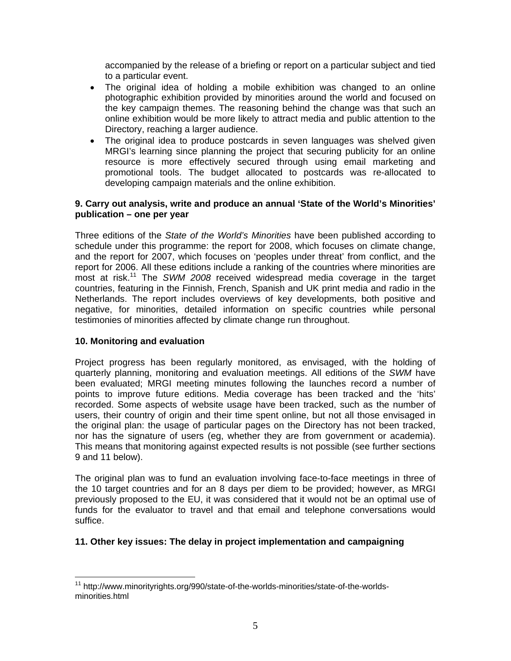accompanied by the release of a briefing or report on a particular subject and tied to a particular event.

- The original idea of holding a mobile exhibition was changed to an online photographic exhibition provided by minorities around the world and focused on the key campaign themes. The reasoning behind the change was that such an online exhibition would be more likely to attract media and public attention to the Directory, reaching a larger audience.
- The original idea to produce postcards in seven languages was shelved given MRGI's learning since planning the project that securing publicity for an online resource is more effectively secured through using email marketing and promotional tools. The budget allocated to postcards was re-allocated to developing campaign materials and the online exhibition.

### **9. Carry out analysis, write and produce an annual 'State of the World's Minorities' publication – one per year**

Three editions of the *State of the World's Minorities* have been published according to schedule under this programme: the report for 2008, which focuses on climate change, and the report for 2007, which focuses on 'peoples under threat' from conflict, and the report for 2006. All these editions include a ranking of the countries where minorities are most at risk.11 The *SWM 2008* received widespread media coverage in the target countries, featuring in the Finnish, French, Spanish and UK print media and radio in the Netherlands. The report includes overviews of key developments, both positive and negative, for minorities, detailed information on specific countries while personal testimonies of minorities affected by climate change run throughout.

## **10. Monitoring and evaluation**

Project progress has been regularly monitored, as envisaged, with the holding of quarterly planning, monitoring and evaluation meetings. All editions of the *SWM* have been evaluated; MRGI meeting minutes following the launches record a number of points to improve future editions. Media coverage has been tracked and the 'hits' recorded. Some aspects of website usage have been tracked, such as the number of users, their country of origin and their time spent online, but not all those envisaged in the original plan: the usage of particular pages on the Directory has not been tracked, nor has the signature of users (eg, whether they are from government or academia). This means that monitoring against expected results is not possible (see further sections 9 and 11 below).

The original plan was to fund an evaluation involving face-to-face meetings in three of the 10 target countries and for an 8 days per diem to be provided; however, as MRGI previously proposed to the EU, it was considered that it would not be an optimal use of funds for the evaluator to travel and that email and telephone conversations would suffice.

## **11. Other key issues: The delay in project implementation and campaigning**

 $\overline{a}$ <sup>11</sup> http://www.minorityrights.org/990/state-of-the-worlds-minorities/state-of-the-worldsminorities.html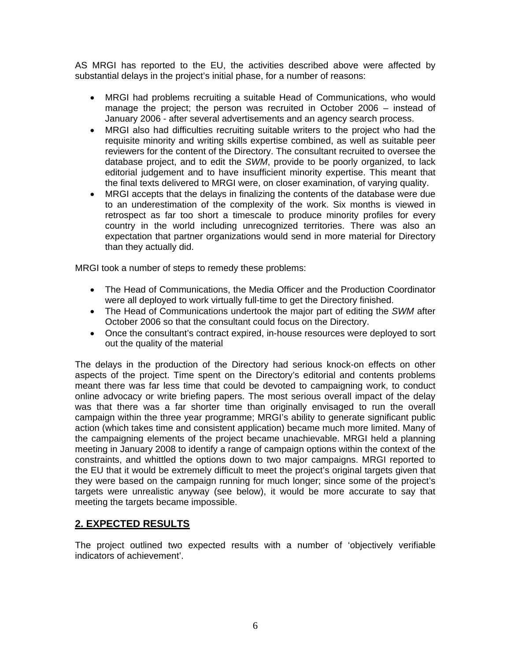AS MRGI has reported to the EU, the activities described above were affected by substantial delays in the project's initial phase, for a number of reasons:

- MRGI had problems recruiting a suitable Head of Communications, who would manage the project; the person was recruited in October 2006 – instead of January 2006 - after several advertisements and an agency search process.
- MRGI also had difficulties recruiting suitable writers to the project who had the requisite minority and writing skills expertise combined, as well as suitable peer reviewers for the content of the Directory. The consultant recruited to oversee the database project, and to edit the *SWM*, provide to be poorly organized, to lack editorial judgement and to have insufficient minority expertise. This meant that the final texts delivered to MRGI were, on closer examination, of varying quality.
- MRGI accepts that the delays in finalizing the contents of the database were due to an underestimation of the complexity of the work. Six months is viewed in retrospect as far too short a timescale to produce minority profiles for every country in the world including unrecognized territories. There was also an expectation that partner organizations would send in more material for Directory than they actually did.

MRGI took a number of steps to remedy these problems:

- The Head of Communications, the Media Officer and the Production Coordinator were all deployed to work virtually full-time to get the Directory finished.
- The Head of Communications undertook the major part of editing the *SWM* after October 2006 so that the consultant could focus on the Directory.
- Once the consultant's contract expired, in-house resources were deployed to sort out the quality of the material

The delays in the production of the Directory had serious knock-on effects on other aspects of the project. Time spent on the Directory's editorial and contents problems meant there was far less time that could be devoted to campaigning work, to conduct online advocacy or write briefing papers. The most serious overall impact of the delay was that there was a far shorter time than originally envisaged to run the overall campaign within the three year programme; MRGI's ability to generate significant public action (which takes time and consistent application) became much more limited. Many of the campaigning elements of the project became unachievable. MRGI held a planning meeting in January 2008 to identify a range of campaign options within the context of the constraints, and whittled the options down to two major campaigns. MRGI reported to the EU that it would be extremely difficult to meet the project's original targets given that they were based on the campaign running for much longer; since some of the project's targets were unrealistic anyway (see below), it would be more accurate to say that meeting the targets became impossible.

## **2. EXPECTED RESULTS**

The project outlined two expected results with a number of 'objectively verifiable indicators of achievement'.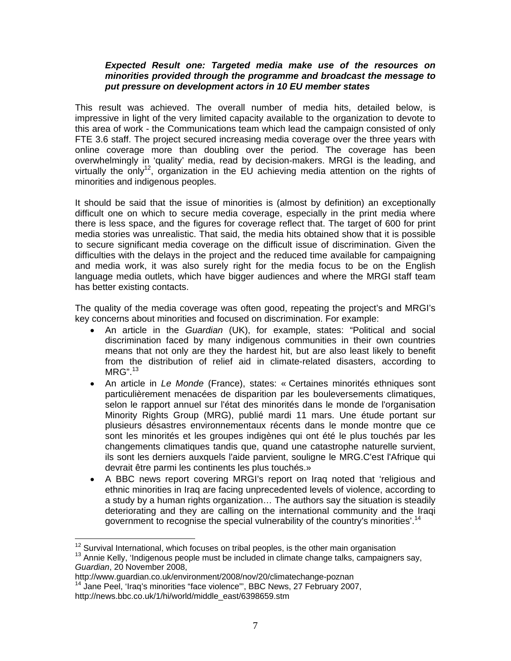### *Expected Result one: Targeted media make use of the resources on minorities provided through the programme and broadcast the message to put pressure on development actors in 10 EU member states*

This result was achieved. The overall number of media hits, detailed below, is impressive in light of the very limited capacity available to the organization to devote to this area of work - the Communications team which lead the campaign consisted of only FTE 3.6 staff. The project secured increasing media coverage over the three years with online coverage more than doubling over the period. The coverage has been overwhelmingly in 'quality' media, read by decision-makers. MRGI is the leading, and virtually the only<sup>12</sup>, organization in the EU achieving media attention on the rights of minorities and indigenous peoples.

It should be said that the issue of minorities is (almost by definition) an exceptionally difficult one on which to secure media coverage, especially in the print media where there is less space, and the figures for coverage reflect that. The target of 600 for print media stories was unrealistic. That said, the media hits obtained show that it is possible to secure significant media coverage on the difficult issue of discrimination. Given the difficulties with the delays in the project and the reduced time available for campaigning and media work, it was also surely right for the media focus to be on the English language media outlets, which have bigger audiences and where the MRGI staff team has better existing contacts.

The quality of the media coverage was often good, repeating the project's and MRGI's key concerns about minorities and focused on discrimination. For example:

- An article in the *Guardian* (UK), for example, states: "Political and social discrimination faced by many indigenous communities in their own countries means that not only are they the hardest hit, but are also least likely to benefit from the distribution of relief aid in climate-related disasters, according to MRG".13
- An article in *Le Monde* (France), states: « Certaines minorités ethniques sont particulièrement menacées de disparition par les bouleversements climatiques, selon le rapport annuel sur l'état des minorités dans le monde de l'organisation Minority Rights Group (MRG), publié mardi 11 mars. Une étude portant sur plusieurs désastres environnementaux récents dans le monde montre que ce sont les minorités et les groupes indigènes qui ont été le plus touchés par les changements climatiques tandis que, quand une catastrophe naturelle survient, ils sont les derniers auxquels l'aide parvient, souligne le MRG.C'est l'Afrique qui devrait être parmi les continents les plus touchés.»
- A BBC news report covering MRGI's report on Iraq noted that 'religious and ethnic minorities in Iraq are facing unprecedented levels of violence, according to a study by a human rights organization… The authors say the situation is steadily deteriorating and they are calling on the international community and the Iraqi government to recognise the special vulnerability of the country's minorities'.<sup>14</sup>

<sup>&</sup>lt;sup>12</sup> Survival International, which focuses on tribal peoples, is the other main organisation

 $13$  Annie Kelly, 'Indigenous people must be included in climate change talks, campaigners say, *Guardian*, 20 November 2008,

http://www.guardian.co.uk/environment/2007,<br><sup>14</sup> Jane Peel, 'Iraq's minorities "face violence"', BBC News, 27 February 2007, http://news.bbc.co.uk/1/hi/world/middle\_east/6398659.stm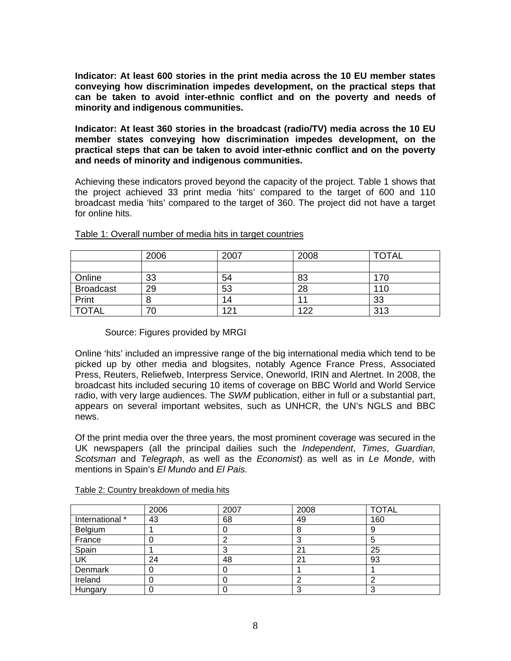**Indicator: At least 600 stories in the print media across the 10 EU member states conveying how discrimination impedes development, on the practical steps that can be taken to avoid inter-ethnic conflict and on the poverty and needs of minority and indigenous communities.** 

**Indicator: At least 360 stories in the broadcast (radio/TV) media across the 10 EU member states conveying how discrimination impedes development, on the practical steps that can be taken to avoid inter-ethnic conflict and on the poverty and needs of minority and indigenous communities.**

Achieving these indicators proved beyond the capacity of the project. Table 1 shows that the project achieved 33 print media 'hits' compared to the target of 600 and 110 broadcast media 'hits' compared to the target of 360. The project did not have a target for online hits.

|                  | 2006 | 2007 | 2008 | <b>TOTAL</b> |
|------------------|------|------|------|--------------|
|                  |      |      |      |              |
| Online           | 33   | 54   | 83   | 170          |
| <b>Broadcast</b> | 29   | 53   | 28   | 110          |
| Print            |      | 14   | л    | 33           |
| <b>TOTAL</b>     | 70   | 121  | 122  | 313          |

### Table 1: Overall number of media hits in target countries

## Source: Figures provided by MRGI

Online 'hits' included an impressive range of the big international media which tend to be picked up by other media and blogsites, notably Agence France Press, Associated Press, Reuters, Reliefweb, Interpress Service, Oneworld, IRIN and Alertnet. In 2008, the broadcast hits included securing 10 items of coverage on BBC World and World Service radio, with very large audiences. The *SWM* publication, either in full or a substantial part, appears on several important websites, such as UNHCR, the UN's NGLS and BBC news.

Of the print media over the three years, the most prominent coverage was secured in the UK newspapers (all the principal dailies such the *Independent*, *Times*, *Guardian, Scotsman* and *Telegraph*, as well as the *Economist*) as well as in *Le Monde*, with mentions in Spain's *El Mundo* and *El Pais.* 

|                 | 2006 | 2007 | 2008 | <b>TOTAL</b> |
|-----------------|------|------|------|--------------|
| International * | 43   | 68   | 49   | 160          |
| Belgium         |      |      | 8    |              |
| France          |      |      |      |              |
| Spain           |      |      | 21   | 25           |
| UK              | 24   | 48   | 21   | 93           |
| Denmark         |      |      |      |              |
| Ireland         |      |      |      |              |
| Hungary         |      |      |      |              |

### Table 2: Country breakdown of media hits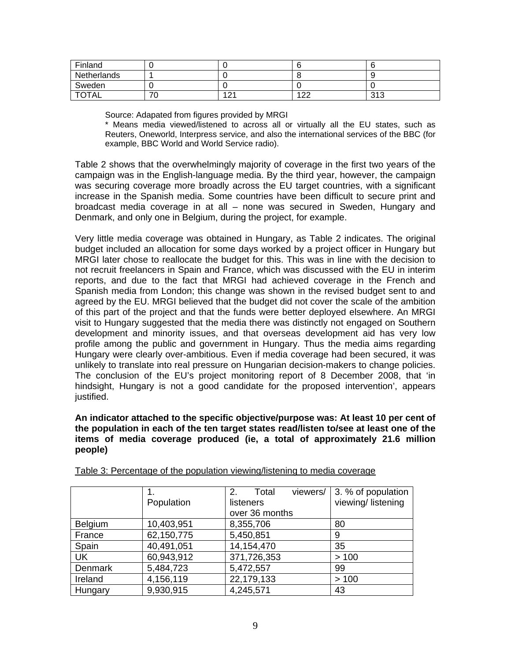| Finland      |          |     |           |              |
|--------------|----------|-----|-----------|--------------|
| Netherlands  |          |     |           |              |
| Sweden       |          |     |           |              |
| <b>TOTAL</b> | – r<br>ν | 121 | 122<br>-- | 242<br>ن ا ب |

Source: Adapated from figures provided by MRGI

\* Means media viewed/listened to across all or virtually all the EU states, such as Reuters, Oneworld, Interpress service, and also the international services of the BBC (for example, BBC World and World Service radio).

Table 2 shows that the overwhelmingly majority of coverage in the first two years of the campaign was in the English-language media. By the third year, however, the campaign was securing coverage more broadly across the EU target countries, with a significant increase in the Spanish media. Some countries have been difficult to secure print and broadcast media coverage in at all – none was secured in Sweden, Hungary and Denmark, and only one in Belgium, during the project, for example.

Very little media coverage was obtained in Hungary, as Table 2 indicates. The original budget included an allocation for some days worked by a project officer in Hungary but MRGI later chose to reallocate the budget for this. This was in line with the decision to not recruit freelancers in Spain and France, which was discussed with the EU in interim reports, and due to the fact that MRGI had achieved coverage in the French and Spanish media from London; this change was shown in the revised budget sent to and agreed by the EU. MRGI believed that the budget did not cover the scale of the ambition of this part of the project and that the funds were better deployed elsewhere. An MRGI visit to Hungary suggested that the media there was distinctly not engaged on Southern development and minority issues, and that overseas development aid has very low profile among the public and government in Hungary. Thus the media aims regarding Hungary were clearly over-ambitious. Even if media coverage had been secured, it was unlikely to translate into real pressure on Hungarian decision-makers to change policies. The conclusion of the EU's project monitoring report of 8 December 2008, that 'in hindsight, Hungary is not a good candidate for the proposed intervention', appears justified.

### **An indicator attached to the specific objective/purpose was: At least 10 per cent of the population in each of the ten target states read/listen to/see at least one of the items of media coverage produced (ie, a total of approximately 21.6 million people)**

|                |            | viewers/<br>2.<br>Total | 3. % of population |
|----------------|------------|-------------------------|--------------------|
|                | Population | listeners               | viewing/listening  |
|                |            | over 36 months          |                    |
| <b>Belgium</b> | 10,403,951 | 8,355,706               | 80                 |
| France         | 62,150,775 | 5,450,851               | 9                  |
| Spain          | 40,491,051 | 14,154,470              | 35                 |
| UK             | 60,943,912 | 371,726,353             | >100               |
| <b>Denmark</b> | 5,484,723  | 5,472,557               | 99                 |
| Ireland        | 4,156,119  | 22,179,133              | >100               |
| Hungary        | 9,930,915  | 4,245,571               | 43                 |

Table 3: Percentage of the population viewing/listening to media coverage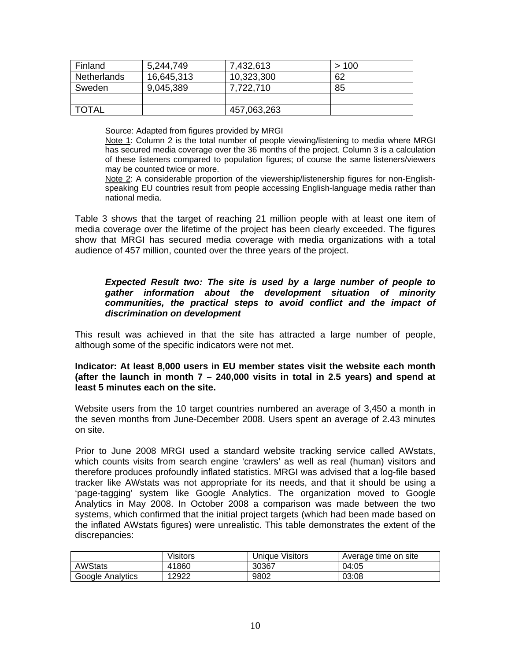| Finland      | 5,244,749  | 7,432,613   | >100 |
|--------------|------------|-------------|------|
| Netherlands  | 16,645,313 | 10,323,300  | 62   |
| Sweden       | 9,045,389  | 7,722,710   | 85   |
|              |            |             |      |
| <b>TOTAL</b> |            | 457,063,263 |      |

Source: Adapted from figures provided by MRGI

Note 1: Column 2 is the total number of people viewing/listening to media where MRGI has secured media coverage over the 36 months of the project. Column 3 is a calculation of these listeners compared to population figures; of course the same listeners/viewers may be counted twice or more.

Note 2: A considerable proportion of the viewership/listenership figures for non-Englishspeaking EU countries result from people accessing English-language media rather than national media.

Table 3 shows that the target of reaching 21 million people with at least one item of media coverage over the lifetime of the project has been clearly exceeded. The figures show that MRGI has secured media coverage with media organizations with a total audience of 457 million, counted over the three years of the project.

### *Expected Result two: The site is used by a large number of people to gather information about the development situation of minority communities, the practical steps to avoid conflict and the impact of discrimination on development*

This result was achieved in that the site has attracted a large number of people, although some of the specific indicators were not met.

### **Indicator: At least 8,000 users in EU member states visit the website each month (after the launch in month 7 – 240,000 visits in total in 2.5 years) and spend at least 5 minutes each on the site.**

Website users from the 10 target countries numbered an average of 3,450 a month in the seven months from June-December 2008. Users spent an average of 2.43 minutes on site.

Prior to June 2008 MRGI used a standard website tracking service called AWstats, which counts visits from search engine 'crawlers' as well as real (human) visitors and therefore produces profoundly inflated statistics. MRGI was advised that a log-file based tracker like AWstats was not appropriate for its needs, and that it should be using a 'page-tagging' system like Google Analytics. The organization moved to Google Analytics in May 2008. In October 2008 a comparison was made between the two systems, which confirmed that the initial project targets (which had been made based on the inflated AWstats figures) were unrealistic. This table demonstrates the extent of the discrepancies:

|                  | Visitors | Uniaue Visitors | Average time on site |
|------------------|----------|-----------------|----------------------|
| <b>AWStats</b>   | 41860    | 30367           | 04:05                |
| Google Analytics | 12922    | 9802            | 03:08                |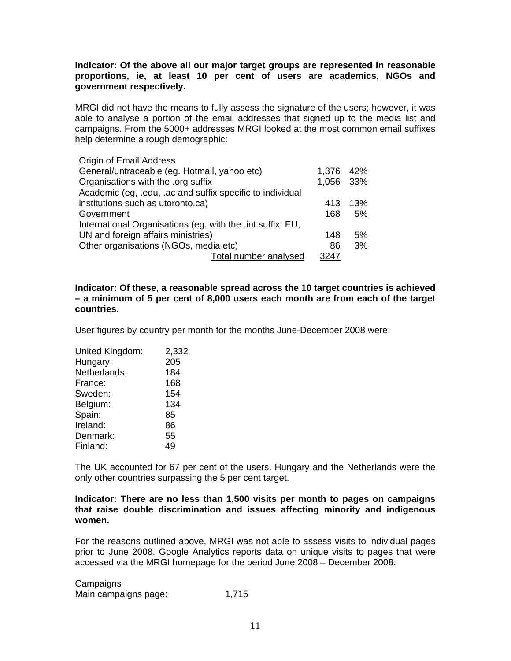### **Indicator: Of the above all our major target groups are represented in reasonable proportions, ie, at least 10 per cent of users are academics, NGOs and government respectively.**

MRGI did not have the means to fully assess the signature of the users; however, it was able to analyse a portion of the email addresses that signed up to the media list and campaigns. From the 5000+ addresses MRGI looked at the most common email suffixes help determine a rough demographic:

| Origin of Email Address                                    |           |     |
|------------------------------------------------------------|-----------|-----|
| General/untraceable (eg. Hotmail, yahoo etc)               | 1,376     | 42% |
| Organisations with the .org suffix                         | 1,056 33% |     |
| Academic (eg, .edu, .ac and suffix specific to individual  |           |     |
| institutions such as utoronto.ca)                          | 413       | 13% |
| Government                                                 | 168       | 5%  |
| International Organisations (eg. with the .int suffix, EU, |           |     |
| UN and foreign affairs ministries)                         | 148       | 5%  |
| Other organisations (NGOs, media etc)                      |           | 3%  |
| Total number analysed                                      | 3247      |     |

**Indicator: Of these, a reasonable spread across the 10 target countries is achieved – a minimum of 5 per cent of 8,000 users each month are from each of the target countries.** 

User figures by country per month for the months June-December 2008 were:

| United Kingdom: | 2,332 |
|-----------------|-------|
| Hungary:        | 205   |
| Netherlands:    | 184   |
| France:         | 168   |
| Sweden:         | 154   |
| Belgium:        | 134   |
| Spain:          | 85    |
| Ireland:        | 86    |
| Denmark:        | 55    |
| Finland:        | 49    |

The UK accounted for 67 per cent of the users. Hungary and the Netherlands were the only other countries surpassing the 5 per cent target.

### **Indicator: There are no less than 1,500 visits per month to pages on campaigns that raise double discrimination and issues affecting minority and indigenous women.**

For the reasons outlined above, MRGI was not able to assess visits to individual pages prior to June 2008. Google Analytics reports data on unique visits to pages that were accessed via the MRGI homepage for the period June 2008 – December 2008:

**Campaigns** Main campaigns page: 1,715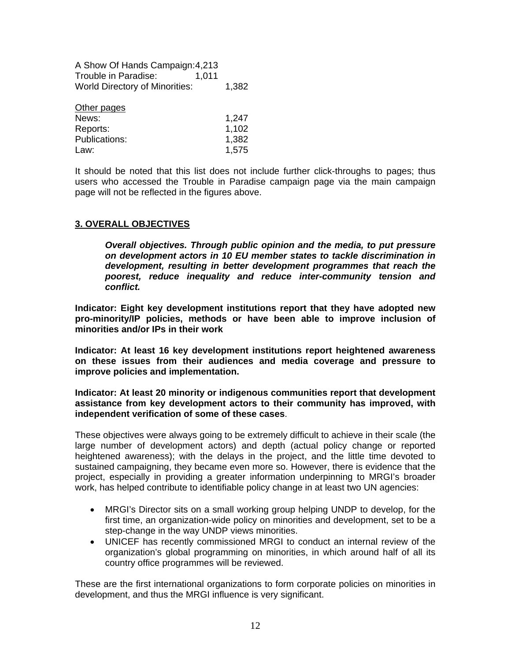| A Show Of Hands Campaign: 4,213       |       |       |  |
|---------------------------------------|-------|-------|--|
| Trouble in Paradise:                  | 1.011 |       |  |
| <b>World Directory of Minorities:</b> |       | 1,382 |  |

| Other pages   |       |
|---------------|-------|
| News:         | 1,247 |
| Reports:      | 1,102 |
| Publications: | 1,382 |
| Law:          | 1,575 |

It should be noted that this list does not include further click-throughs to pages; thus users who accessed the Trouble in Paradise campaign page via the main campaign page will not be reflected in the figures above.

## **3. OVERALL OBJECTIVES**

*Overall objectives. Through public opinion and the media, to put pressure on development actors in 10 EU member states to tackle discrimination in development, resulting in better development programmes that reach the poorest, reduce inequality and reduce inter-community tension and conflict.* 

**Indicator: Eight key development institutions report that they have adopted new pro-minority/IP policies, methods or have been able to improve inclusion of minorities and/or IPs in their work** 

**Indicator: At least 16 key development institutions report heightened awareness on these issues from their audiences and media coverage and pressure to improve policies and implementation.** 

**Indicator: At least 20 minority or indigenous communities report that development assistance from key development actors to their community has improved, with independent verification of some of these cases**.

These objectives were always going to be extremely difficult to achieve in their scale (the large number of development actors) and depth (actual policy change or reported heightened awareness); with the delays in the project, and the little time devoted to sustained campaigning, they became even more so. However, there is evidence that the project, especially in providing a greater information underpinning to MRGI's broader work, has helped contribute to identifiable policy change in at least two UN agencies:

- MRGI's Director sits on a small working group helping UNDP to develop, for the first time, an organization-wide policy on minorities and development, set to be a step-change in the way UNDP views minorities.
- UNICEF has recently commissioned MRGI to conduct an internal review of the organization's global programming on minorities, in which around half of all its country office programmes will be reviewed.

These are the first international organizations to form corporate policies on minorities in development, and thus the MRGI influence is very significant.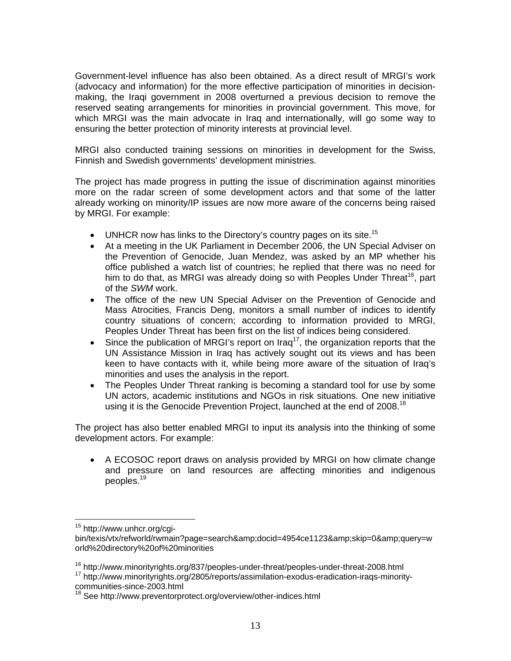Government-level influence has also been obtained. As a direct result of MRGI's work (advocacy and information) for the more effective participation of minorities in decisionmaking, the Iraqi government in 2008 overturned a previous decision to remove the reserved seating arrangements for minorities in provincial government. This move, for which MRGI was the main advocate in Iraq and internationally, will go some way to ensuring the better protection of minority interests at provincial level.

MRGI also conducted training sessions on minorities in development for the Swiss, Finnish and Swedish governments' development ministries.

The project has made progress in putting the issue of discrimination against minorities more on the radar screen of some development actors and that some of the latter already working on minority/IP issues are now more aware of the concerns being raised by MRGI. For example:

- $\bullet$  UNHCR now has links to the Directory's country pages on its site.<sup>15</sup>
- At a meeting in the UK Parliament in December 2006, the UN Special Adviser on the Prevention of Genocide, Juan Mendez, was asked by an MP whether his office published a watch list of countries; he replied that there was no need for him to do that, as MRGI was already doing so with Peoples Under Threat<sup>16</sup>, part of the *SWM* work.
- The office of the new UN Special Adviser on the Prevention of Genocide and Mass Atrocities, Francis Deng, monitors a small number of indices to identify country situations of concern; according to information provided to MRGI, Peoples Under Threat has been first on the list of indices being considered.
- Since the publication of MRGI's report on Iraq<sup>17</sup>, the organization reports that the UN Assistance Mission in Iraq has actively sought out its views and has been keen to have contacts with it, while being more aware of the situation of Iraq's minorities and uses the analysis in the report.
- The Peoples Under Threat ranking is becoming a standard tool for use by some UN actors, academic institutions and NGOs in risk situations. One new initiative using it is the Genocide Prevention Project, launched at the end of 2008.<sup>18</sup>

The project has also better enabled MRGI to input its analysis into the thinking of some development actors. For example:

 A ECOSOC report draws on analysis provided by MRGI on how climate change and pressure on land resources are affecting minorities and indigenous peoples.19

<sup>&</sup>lt;sup>15</sup> http://www.unhcr.org/cgi-

bin/texis/vtx/refworld/rwmain?page=search&docid=4954ce1123&skip=0&query=w orld%20directory%20of%20minorities

 $16 \text{ http://www.minority rights.org/837/peoples-under-threat/peoples-under-threat-2008.html}$ <br> $17 \text{ http://www.minority rights.org/2805/reports/assimilation-exodus-eradication-irags-minority-$ 

communities-since-2003.html

<sup>&</sup>lt;sup>18</sup> See http://www.preventorprotect.org/overview/other-indices.html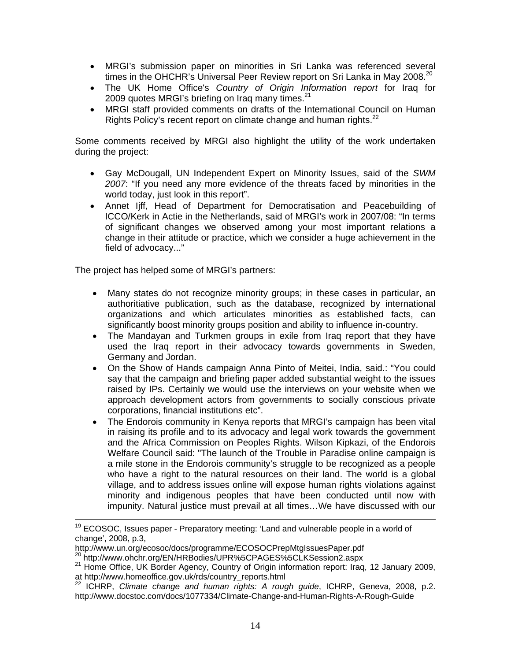- MRGI's submission paper on minorities in Sri Lanka was referenced several times in the OHCHR's Universal Peer Review report on Sri Lanka in May 2008.<sup>20</sup>
- The UK Home Office's *Country of Origin Information report* for Iraq for 2009 quotes MRGI's briefing on Iraq many times. $21$
- MRGI staff provided comments on drafts of the International Council on Human Rights Policy's recent report on climate change and human rights.<sup>22</sup>

Some comments received by MRGI also highlight the utility of the work undertaken during the project:

- Gay McDougall, UN Independent Expert on Minority Issues, said of the *SWM 2007*: "If you need any more evidence of the threats faced by minorities in the world today, just look in this report".
- Annet Ijff, Head of Department for Democratisation and Peacebuilding of ICCO/Kerk in Actie in the Netherlands, said of MRGI's work in 2007/08: "In terms of significant changes we observed among your most important relations a change in their attitude or practice, which we consider a huge achievement in the field of advocacy..."

The project has helped some of MRGI's partners:

- Many states do not recognize minority groups; in these cases in particular, an authoritiative publication, such as the database, recognized by international organizations and which articulates minorities as established facts, can significantly boost minority groups position and ability to influence in-country.
- The Mandayan and Turkmen groups in exile from Irag report that they have used the Iraq report in their advocacy towards governments in Sweden, Germany and Jordan.
- On the Show of Hands campaign Anna Pinto of Meitei, India, said.: "You could say that the campaign and briefing paper added substantial weight to the issues raised by IPs. Certainly we would use the interviews on your website when we approach development actors from governments to socially conscious private corporations, financial institutions etc".
- The Endorois community in Kenya reports that MRGI's campaign has been vital in raising its profile and to its advocacy and legal work towards the government and the Africa Commission on Peoples Rights. Wilson Kipkazi, of the Endorois Welfare Council said: "The launch of the Trouble in Paradise online campaign is a mile stone in the Endorois community's struggle to be recognized as a people who have a right to the natural resources on their land. The world is a global village, and to address issues online will expose human rights violations against minority and indigenous peoples that have been conducted until now with impunity. Natural justice must prevail at all times…We have discussed with our

<sup>&</sup>lt;sup>19</sup> ECOSOC, Issues paper - Preparatory meeting: 'Land and vulnerable people in a world of change', 2008, p.3,

http://www.un.org/ecosoc/docs/programme/ECOSOCPrepMtgIssuesPaper.pdf<br><sup>20</sup> http://www.ohchr.org/EN/HRBodies/UPR%5CPAGES%5CLKSession2.aspx

<sup>21</sup> Home Office, UK Border Agency, Country of Origin information report: Iraq, 12 January 2009, at http://www.homeoffice.gov.uk/rds/country\_reports.html

<sup>22</sup> ICHRP, *Climate change and human rights: A rough guide*, ICHRP, Geneva, 2008, p.2. http://www.docstoc.com/docs/1077334/Climate-Change-and-Human-Rights-A-Rough-Guide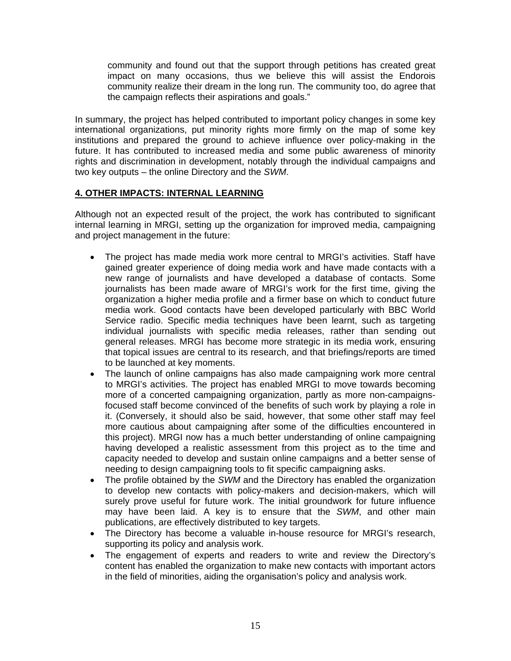community and found out that the support through petitions has created great impact on many occasions, thus we believe this will assist the Endorois community realize their dream in the long run. The community too, do agree that the campaign reflects their aspirations and goals."

In summary, the project has helped contributed to important policy changes in some key international organizations, put minority rights more firmly on the map of some key institutions and prepared the ground to achieve influence over policy-making in the future. It has contributed to increased media and some public awareness of minority rights and discrimination in development, notably through the individual campaigns and two key outputs – the online Directory and the *SWM*.

## **4. OTHER IMPACTS: INTERNAL LEARNING**

Although not an expected result of the project, the work has contributed to significant internal learning in MRGI, setting up the organization for improved media, campaigning and project management in the future:

- The project has made media work more central to MRGI's activities. Staff have gained greater experience of doing media work and have made contacts with a new range of journalists and have developed a database of contacts. Some journalists has been made aware of MRGI's work for the first time, giving the organization a higher media profile and a firmer base on which to conduct future media work. Good contacts have been developed particularly with BBC World Service radio. Specific media techniques have been learnt, such as targeting individual journalists with specific media releases, rather than sending out general releases. MRGI has become more strategic in its media work, ensuring that topical issues are central to its research, and that briefings/reports are timed to be launched at key moments.
- The launch of online campaigns has also made campaigning work more central to MRGI's activities. The project has enabled MRGI to move towards becoming more of a concerted campaigning organization, partly as more non-campaignsfocused staff become convinced of the benefits of such work by playing a role in it. (Conversely, it should also be said, however, that some other staff may feel more cautious about campaigning after some of the difficulties encountered in this project). MRGI now has a much better understanding of online campaigning having developed a realistic assessment from this project as to the time and capacity needed to develop and sustain online campaigns and a better sense of needing to design campaigning tools to fit specific campaigning asks.
- The profile obtained by the *SWM* and the Directory has enabled the organization to develop new contacts with policy-makers and decision-makers, which will surely prove useful for future work. The initial groundwork for future influence may have been laid. A key is to ensure that the *SWM*, and other main publications, are effectively distributed to key targets.
- The Directory has become a valuable in-house resource for MRGI's research, supporting its policy and analysis work.
- The engagement of experts and readers to write and review the Directory's content has enabled the organization to make new contacts with important actors in the field of minorities, aiding the organisation's policy and analysis work.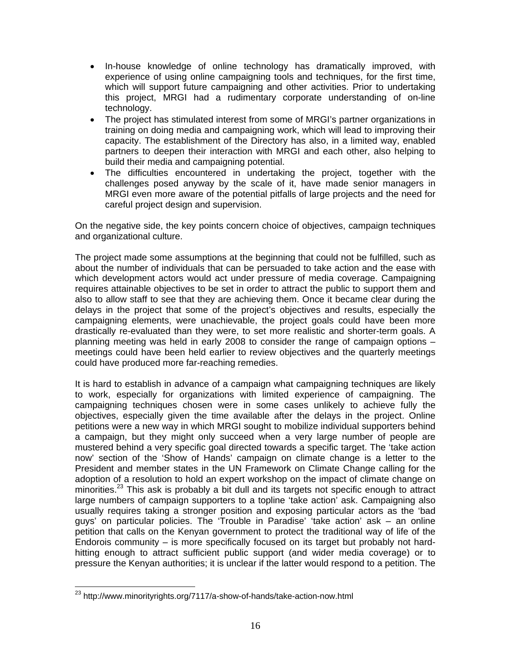- In-house knowledge of online technology has dramatically improved, with experience of using online campaigning tools and techniques, for the first time, which will support future campaigning and other activities. Prior to undertaking this project, MRGI had a rudimentary corporate understanding of on-line technology.
- The project has stimulated interest from some of MRGI's partner organizations in training on doing media and campaigning work, which will lead to improving their capacity. The establishment of the Directory has also, in a limited way, enabled partners to deepen their interaction with MRGI and each other, also helping to build their media and campaigning potential.
- The difficulties encountered in undertaking the project, together with the challenges posed anyway by the scale of it, have made senior managers in MRGI even more aware of the potential pitfalls of large projects and the need for careful project design and supervision.

On the negative side, the key points concern choice of objectives, campaign techniques and organizational culture.

The project made some assumptions at the beginning that could not be fulfilled, such as about the number of individuals that can be persuaded to take action and the ease with which development actors would act under pressure of media coverage. Campaigning requires attainable objectives to be set in order to attract the public to support them and also to allow staff to see that they are achieving them. Once it became clear during the delays in the project that some of the project's objectives and results, especially the campaigning elements, were unachievable, the project goals could have been more drastically re-evaluated than they were, to set more realistic and shorter-term goals. A planning meeting was held in early 2008 to consider the range of campaign options – meetings could have been held earlier to review objectives and the quarterly meetings could have produced more far-reaching remedies.

It is hard to establish in advance of a campaign what campaigning techniques are likely to work, especially for organizations with limited experience of campaigning. The campaigning techniques chosen were in some cases unlikely to achieve fully the objectives, especially given the time available after the delays in the project. Online petitions were a new way in which MRGI sought to mobilize individual supporters behind a campaign, but they might only succeed when a very large number of people are mustered behind a very specific goal directed towards a specific target. The 'take action now' section of the 'Show of Hands' campaign on climate change is a letter to the President and member states in the UN Framework on Climate Change calling for the adoption of a resolution to hold an expert workshop on the impact of climate change on minorities.<sup>23</sup> This ask is probably a bit dull and its targets not specific enough to attract large numbers of campaign supporters to a topline 'take action' ask. Campaigning also usually requires taking a stronger position and exposing particular actors as the 'bad guys' on particular policies. The 'Trouble in Paradise' 'take action' ask – an online petition that calls on the Kenyan government to protect the traditional way of life of the Endorois community – is more specifically focused on its target but probably not hardhitting enough to attract sufficient public support (and wider media coverage) or to pressure the Kenyan authorities; it is unclear if the latter would respond to a petition. The

 $^{23}$  http://www.minorityrights.org/7117/a-show-of-hands/take-action-now.html